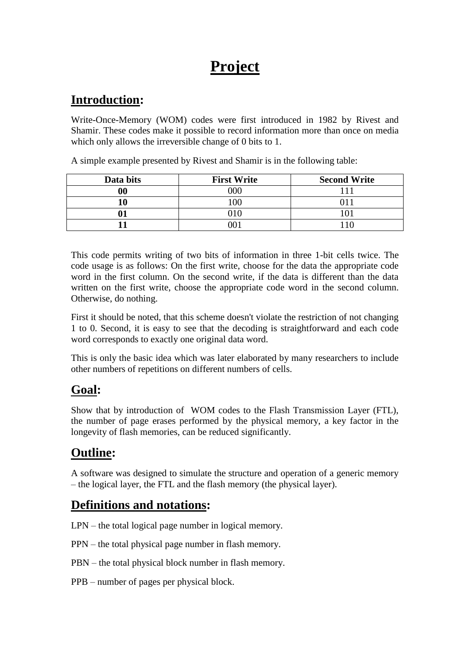# **Project**

# **Introduction:**

Write-Once-Memory (WOM) codes were first introduced in 1982 by Rivest and Shamir. These codes make it possible to record information more than once on media which only allows the irreversible change of 0 bits to 1.

A simple example presented by Rivest and Shamir is in the following table:

| Data bits         | <b>First Write</b> | <b>Second Write</b> |
|-------------------|--------------------|---------------------|
| $\boldsymbol{00}$ | റററ                |                     |
| l0                | 0 <sup>0</sup>     |                     |
| ∩۰                |                    |                     |
|                   |                    |                     |

This code permits writing of two bits of information in three 1-bit cells twice. The code usage is as follows: On the first write, choose for the data the appropriate code word in the first column. On the second write, if the data is different than the data written on the first write, choose the appropriate code word in the second column. Otherwise, do nothing.

First it should be noted, that this scheme doesn't violate the restriction of not changing 1 to 0. Second, it is easy to see that the decoding is straightforward and each code word corresponds to exactly one original data word.

This is only the basic idea which was later elaborated by many researchers to include other numbers of repetitions on different numbers of cells.

# **Goal:**

Show that by introduction of WOM codes to the Flash Transmission Layer (FTL), the number of page erases performed by the physical memory, a key factor in the longevity of flash memories, can be reduced significantly.

# **Outline:**

A software was designed to simulate the structure and operation of a generic memory – the logical layer, the FTL and the flash memory (the physical layer).

## **Definitions and notations:**

LPN – the total logical page number in logical memory.

PPN – the total physical page number in flash memory.

PBN – the total physical block number in flash memory.

PPB – number of pages per physical block.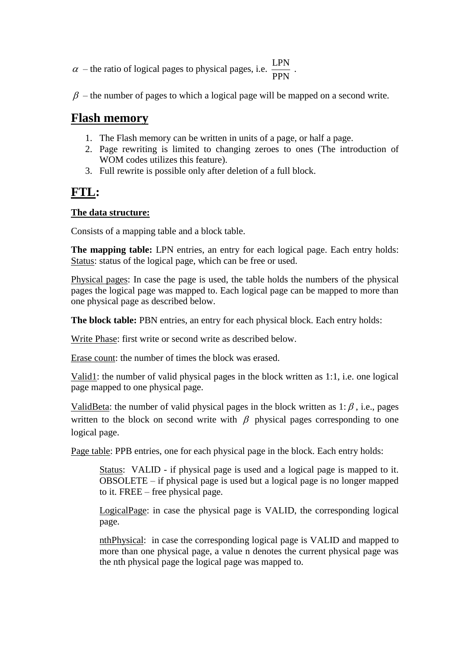- $\alpha$  the ratio of logical pages to physical pages, i.e.  $\frac{LPN}{\alpha}$ PPN .
- $\beta$  the number of pages to which a logical page will be mapped on a second write.

#### **Flash memory**

- 1. The Flash memory can be written in units of a page, or half a page.
- 2. Page rewriting is limited to changing zeroes to ones (The introduction of WOM codes utilizes this feature).
- 3. Full rewrite is possible only after deletion of a full block.

### **FTL:**

#### **The data structure:**

Consists of a mapping table and a block table.

**The mapping table:** LPN entries, an entry for each logical page. Each entry holds: Status: status of the logical page, which can be free or used.

Physical pages: In case the page is used, the table holds the numbers of the physical pages the logical page was mapped to. Each logical page can be mapped to more than one physical page as described below.

**The block table:** PBN entries, an entry for each physical block. Each entry holds:

Write Phase: first write or second write as described below.

Erase count: the number of times the block was erased.

Valid1: the number of valid physical pages in the block written as 1:1, i.e. one logical page mapped to one physical page.

ValidBeta: the number of valid physical pages in the block written as  $1: \beta$ , i.e., pages written to the block on second write with  $\beta$  physical pages corresponding to one logical page.

Page table: PPB entries, one for each physical page in the block. Each entry holds:

Status: VALID - if physical page is used and a logical page is mapped to it. OBSOLETE – if physical page is used but a logical page is no longer mapped to it. FREE – free physical page.

LogicalPage: in case the physical page is VALID, the corresponding logical page.

nthPhysical: in case the corresponding logical page is VALID and mapped to more than one physical page, a value n denotes the current physical page was the nth physical page the logical page was mapped to.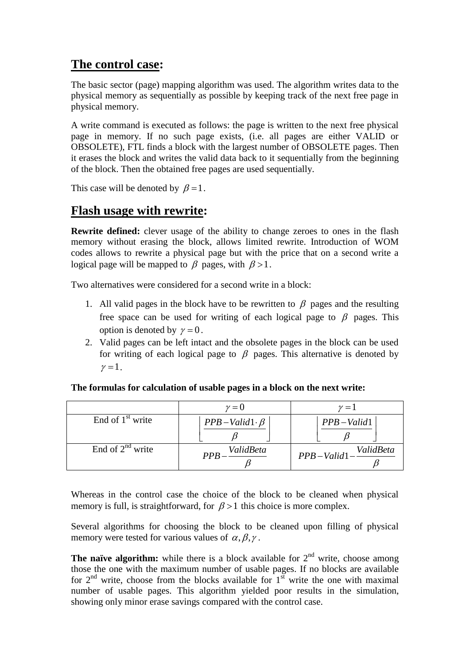## **The control case:**

The basic sector (page) mapping algorithm was used. The algorithm writes data to the physical memory as sequentially as possible by keeping track of the next free page in physical memory.

A write command is executed as follows: the page is written to the next free physical page in memory. If no such page exists, (i.e. all pages are either VALID or OBSOLETE), FTL finds a block with the largest number of OBSOLETE pages. Then it erases the block and writes the valid data back to it sequentially from the beginning of the block. Then the obtained free pages are used sequentially.

This case will be denoted by  $\beta = 1$ .

#### **Flash usage with rewrite:**

**Rewrite defined:** clever usage of the ability to change zeroes to ones in the flash memory without erasing the block, allows limited rewrite. Introduction of WOM codes allows to rewrite a physical page but with the price that on a second write a logical page will be mapped to  $\beta$  pages, with  $\beta > 1$ .

Two alternatives were considered for a second write in a block:

- 1. All valid pages in the block have to be rewritten to  $\beta$  pages and the resulting free space can be used for writing of each logical page to  $\beta$  pages. This option is denoted by  $\gamma = 0$ .
- 2. Valid pages can be left intact and the obsolete pages in the block can be used for writing of each logical page to  $\beta$  pages. This alternative is denoted by  $\gamma=1$ .

|                       | $\nu = 0$               | $\nu = 1$            |
|-----------------------|-------------------------|----------------------|
| End of $1st$ write    | $PPB-Valid1\cdot \beta$ | $PPB - Valid1$       |
| End of $2^{nd}$ write | ValidBeta<br><b>PPR</b> | PPB-Valid1-ValidBeta |

**The formulas for calculation of usable pages in a block on the next write:**

Whereas in the control case the choice of the block to be cleaned when physical memory is full, is straightforward, for  $\beta > 1$  this choice is more complex.

Several algorithms for choosing the block to be cleaned upon filling of physical memory were tested for various values of  $\alpha, \beta, \gamma$ .

**The naïve algorithm:** while there is a block available for  $2<sup>nd</sup>$  write, choose among those the one with the maximum number of usable pages. If no blocks are available for  $2<sup>nd</sup>$  write, choose from the blocks available for  $1<sup>st</sup>$  write the one with maximal number of usable pages. This algorithm yielded poor results in the simulation, showing only minor erase savings compared with the control case.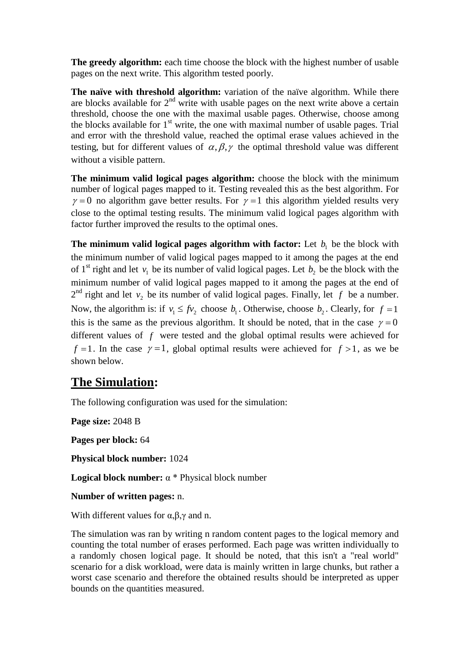**The greedy algorithm:** each time choose the block with the highest number of usable pages on the next write. This algorithm tested poorly.

**The naïve with threshold algorithm:** variation of the naïve algorithm. While there are blocks available for 2<sup>nd</sup> write with usable pages on the next write above a certain threshold, choose the one with the maximal usable pages. Otherwise, choose among the blocks available for  $1<sup>st</sup>$  write, the one with maximal number of usable pages. Trial and error with the threshold value, reached the optimal erase values achieved in the testing, but for different values of  $\alpha$ ,  $\beta$ ,  $\gamma$  the optimal threshold value was different without a visible pattern.

**The minimum valid logical pages algorithm:** choose the block with the minimum number of logical pages mapped to it. Testing revealed this as the best algorithm. For  $\gamma = 0$  no algorithm gave better results. For  $\gamma = 1$  this algorithm yielded results very close to the optimal testing results. The minimum valid logical pages algorithm with factor further improved the results to the optimal ones.

**The minimum valid logical pages algorithm with factor:** Let  $b_1$  be the block with the minimum number of valid logical pages mapped to it among the pages at the end of 1<sup>st</sup> right and let  $v_1$  be its number of valid logical pages. Let  $b_2$  be the block with the minimum number of valid logical pages mapped to it among the pages at the end of  $2<sup>nd</sup>$  right and let  $v_2$  be its number of valid logical pages. Finally, let f be a number. Now, the algorithm is: if  $v_1 \leq f v_2$  choose  $b_1$ . Otherwise, choose  $b_2$ . Clearly, for  $f = 1$ this is the same as the previous algorithm. It should be noted, that in the case  $\gamma = 0$ different values of *f* were tested and the global optimal results were achieved for  $f = 1$ . In the case  $\gamma = 1$ , global optimal results were achieved for  $f > 1$ , as we be shown below.

## **The Simulation:**

The following configuration was used for the simulation:

**Page size:** 2048 B

**Pages per block:** 64

**Physical block number:** 1024

**Logical block number:** α \* Physical block number

**Number of written pages:** n.

With different values for  $\alpha, \beta, \gamma$  and n.

The simulation was ran by writing n random content pages to the logical memory and counting the total number of erases performed. Each page was written individually to a randomly chosen logical page. It should be noted, that this isn't a "real world" scenario for a disk workload, were data is mainly written in large chunks, but rather a worst case scenario and therefore the obtained results should be interpreted as upper bounds on the quantities measured.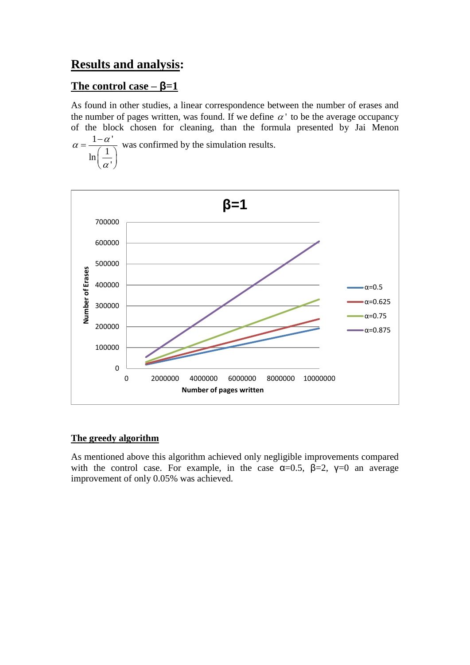### **Results and analysis:**

#### **The control case – β=1**

As found in other studies, a linear correspondence between the number of erases and the number of pages written, was found. If we define  $\alpha'$  to be the average occupancy of the block chosen for cleaning, than the formula presented by Jai Menon  $1 - \alpha$ '

1 ln ' $\alpha =$  $\alpha$  $\left(\frac{1}{\alpha'}\right)^{n}$ was confirmed by the simulation results.



#### **The greedy algorithm**

As mentioned above this algorithm achieved only negligible improvements compared with the control case. For example, in the case  $\alpha=0.5$ ,  $\beta=2$ ,  $\gamma=0$  an average improvement of only 0.05% was achieved.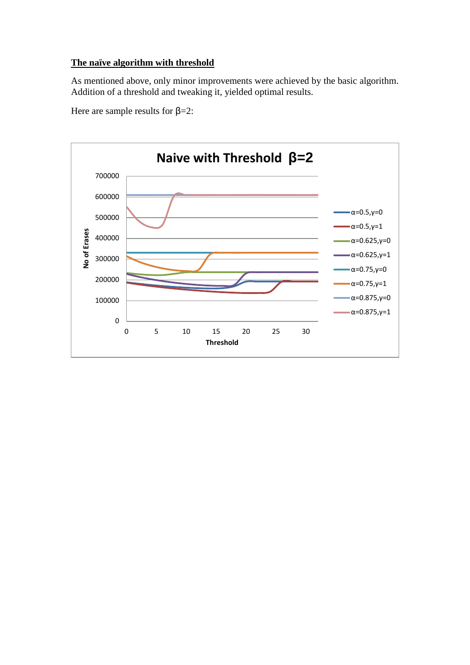#### **The naïve algorithm with threshold**

As mentioned above, only minor improvements were achieved by the basic algorithm. Addition of a threshold and tweaking it, yielded optimal results.

Here are sample results for  $\beta = 2$ :

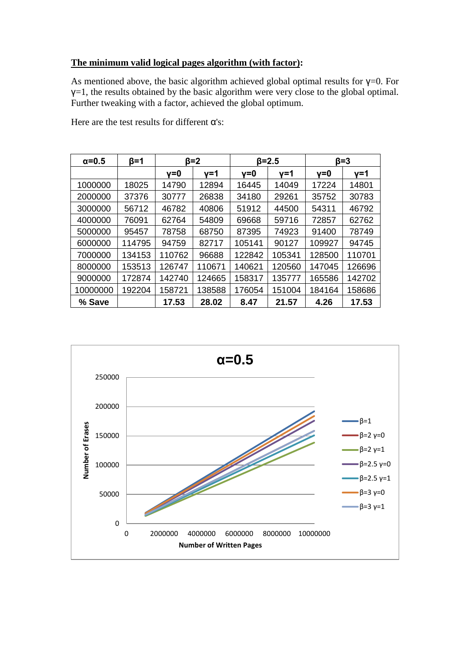#### **The minimum valid logical pages algorithm (with factor):**

As mentioned above, the basic algorithm achieved global optimal results for  $\gamma=0$ . For  $y=1$ , the results obtained by the basic algorithm were very close to the global optimal. Further tweaking with a factor, achieved the global optimum.

| $\alpha = 0.5$ | $\beta = 1$ | $\beta = 2$ |        | $\beta = 2.5$ |        | $β=3$  |        |
|----------------|-------------|-------------|--------|---------------|--------|--------|--------|
|                |             | v=0         | v=1    | $v = 0$       | v=1    | v=0    | v=1    |
| 1000000        | 18025       | 14790       | 12894  | 16445         | 14049  | 17224  | 14801  |
| 2000000        | 37376       | 30777       | 26838  | 34180         | 29261  | 35752  | 30783  |
| 3000000        | 56712       | 46782       | 40806  | 51912         | 44500  | 54311  | 46792  |
| 4000000        | 76091       | 62764       | 54809  | 69668         | 59716  | 72857  | 62762  |
| 5000000        | 95457       | 78758       | 68750  | 87395         | 74923  | 91400  | 78749  |
| 6000000        | 114795      | 94759       | 82717  | 105141        | 90127  | 109927 | 94745  |
| 7000000        | 134153      | 110762      | 96688  | 122842        | 105341 | 128500 | 110701 |
| 8000000        | 153513      | 126747      | 110671 | 140621        | 120560 | 147045 | 126696 |
| 9000000        | 172874      | 142740      | 124665 | 158317        | 135777 | 165586 | 142702 |
| 10000000       | 192204      | 158721      | 138588 | 176054        | 151004 | 184164 | 158686 |
| % Save         |             | 17.53       | 28.02  | 8.47          | 21.57  | 4.26   | 17.53  |

Here are the test results for different α's:

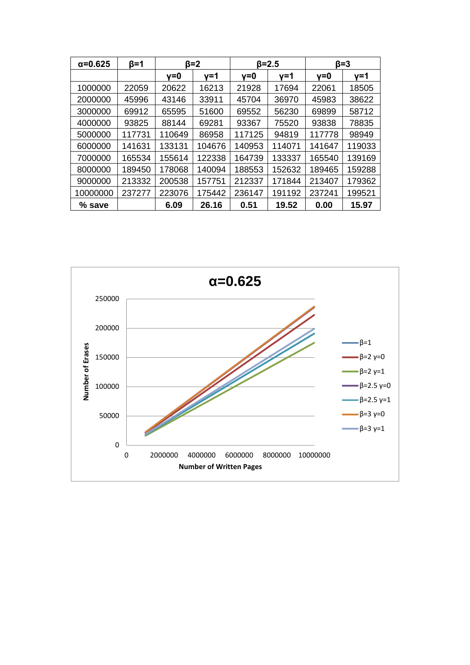| $\alpha = 0.625$ | β=1    | β=2    |        | $\beta = 2.5$ |        | $β=3$  |        |
|------------------|--------|--------|--------|---------------|--------|--------|--------|
|                  |        | γ=0    | γ=1    | $v = 0$       | γ=1    | v=0    | v=1    |
| 1000000          | 22059  | 20622  | 16213  | 21928         | 17694  | 22061  | 18505  |
| 2000000          | 45996  | 43146  | 33911  | 45704         | 36970  | 45983  | 38622  |
| 3000000          | 69912  | 65595  | 51600  | 69552         | 56230  | 69899  | 58712  |
| 4000000          | 93825  | 88144  | 69281  | 93367         | 75520  | 93838  | 78835  |
| 5000000          | 117731 | 110649 | 86958  | 117125        | 94819  | 117778 | 98949  |
| 6000000          | 141631 | 133131 | 104676 | 140953        | 114071 | 141647 | 119033 |
| 7000000          | 165534 | 155614 | 122338 | 164739        | 133337 | 165540 | 139169 |
| 8000000          | 189450 | 178068 | 140094 | 188553        | 152632 | 189465 | 159288 |
| 9000000          | 213332 | 200538 | 157751 | 212337        | 171844 | 213407 | 179362 |
| 10000000         | 237277 | 223076 | 175442 | 236147        | 191192 | 237241 | 199521 |
| % save           |        | 6.09   | 26.16  | 0.51          | 19.52  | 0.00   | 15.97  |

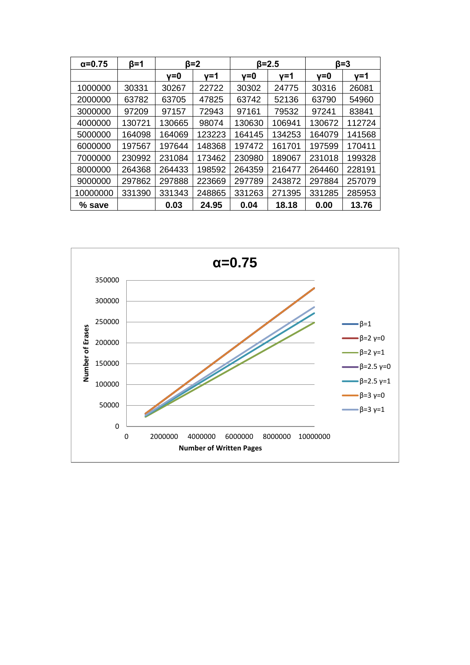| $\alpha = 0.75$ | β=1    | ß=2    |        | $\beta = 2.5$ |        | ß=3    |        |
|-----------------|--------|--------|--------|---------------|--------|--------|--------|
|                 |        | v=0    | γ=1    | $v = 0$       | y=1    | v=0    | v=1    |
| 1000000         | 30331  | 30267  | 22722  | 30302         | 24775  | 30316  | 26081  |
| 2000000         | 63782  | 63705  | 47825  | 63742         | 52136  | 63790  | 54960  |
| 3000000         | 97209  | 97157  | 72943  | 97161         | 79532  | 97241  | 83841  |
| 4000000         | 130721 | 130665 | 98074  | 130630        | 106941 | 130672 | 112724 |
| 5000000         | 164098 | 164069 | 123223 | 164145        | 134253 | 164079 | 141568 |
| 6000000         | 197567 | 197644 | 148368 | 197472        | 161701 | 197599 | 170411 |
| 7000000         | 230992 | 231084 | 173462 | 230980        | 189067 | 231018 | 199328 |
| 8000000         | 264368 | 264433 | 198592 | 264359        | 216477 | 264460 | 228191 |
| 9000000         | 297862 | 297888 | 223669 | 297789        | 243872 | 297884 | 257079 |
| 10000000        | 331390 | 331343 | 248865 | 331263        | 271395 | 331285 | 285953 |
| % save          |        | 0.03   | 24.95  | 0.04          | 18.18  | 0.00   | 13.76  |

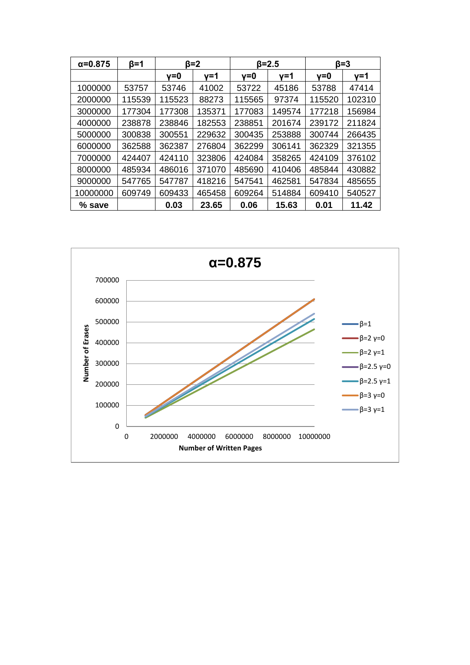| $\alpha = 0.875$ | $\beta = 1$ | ß=2    |        | $\beta = 2.5$ |        | $\beta = 3$ |        |
|------------------|-------------|--------|--------|---------------|--------|-------------|--------|
|                  |             | v=0    | v=1    | v=0           | v=1    | v=0         | v=1    |
| 1000000          | 53757       | 53746  | 41002  | 53722         | 45186  | 53788       | 47414  |
| 2000000          | 115539      | 115523 | 88273  | 115565        | 97374  | 115520      | 102310 |
| 3000000          | 177304      | 177308 | 135371 | 177083        | 149574 | 177218      | 156984 |
| 4000000          | 238878      | 238846 | 182553 | 238851        | 201674 | 239172      | 211824 |
| 5000000          | 300838      | 300551 | 229632 | 300435        | 253888 | 300744      | 266435 |
| 6000000          | 362588      | 362387 | 276804 | 362299        | 306141 | 362329      | 321355 |
| 7000000          | 424407      | 424110 | 323806 | 424084        | 358265 | 424109      | 376102 |
| 8000000          | 485934      | 486016 | 371070 | 485690        | 410406 | 485844      | 430882 |
| 9000000          | 547765      | 547787 | 418216 | 547541        | 462581 | 547834      | 485655 |
| 10000000         | 609749      | 609433 | 465458 | 609264        | 514884 | 609410      | 540527 |
| % save           |             | 0.03   | 23.65  | 0.06          | 15.63  | 0.01        | 11.42  |